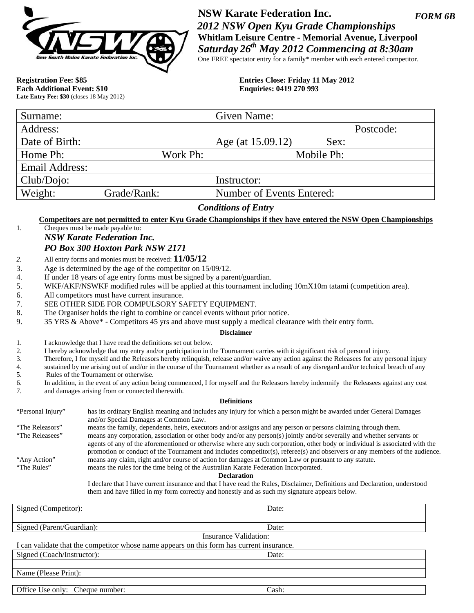

*FORM 6B*  **NSW Karate Federation Inc.**   *2012 NSW Open Kyu Grade Championships*  **Whitlam Leisure Centre - Memorial Avenue, Liverpool**  *Saturday 26th May 2012 Commencing at 8:30am*  One FREE spectator entry for a family\* member with each entered competitor.

**Each Additional Event: \$10 Late Entry Fee: \$30** (closes 18 May 2012)

**Registration Fee: \$85**<br> **Entries Close: Friday 11 May 2012**<br> **Ending Exercise: 0419 270 993**<br> **Enquiries: 0419 270 993** 

| Surname:                                                                                                                                                                                                                                                                                                                                                                                                                                                                                                                                                                                                                                                                                       |                                                                                                                                                                                                                                                                                                                                                                                                                                                                                                                                                                                                                                                                                                                                                                                                                                                                                                                                                                                                                                                                                                                                                                                                                                                                                                                                                          | Given Name:                      |            |  |  |
|------------------------------------------------------------------------------------------------------------------------------------------------------------------------------------------------------------------------------------------------------------------------------------------------------------------------------------------------------------------------------------------------------------------------------------------------------------------------------------------------------------------------------------------------------------------------------------------------------------------------------------------------------------------------------------------------|----------------------------------------------------------------------------------------------------------------------------------------------------------------------------------------------------------------------------------------------------------------------------------------------------------------------------------------------------------------------------------------------------------------------------------------------------------------------------------------------------------------------------------------------------------------------------------------------------------------------------------------------------------------------------------------------------------------------------------------------------------------------------------------------------------------------------------------------------------------------------------------------------------------------------------------------------------------------------------------------------------------------------------------------------------------------------------------------------------------------------------------------------------------------------------------------------------------------------------------------------------------------------------------------------------------------------------------------------------|----------------------------------|------------|--|--|
| Address:                                                                                                                                                                                                                                                                                                                                                                                                                                                                                                                                                                                                                                                                                       |                                                                                                                                                                                                                                                                                                                                                                                                                                                                                                                                                                                                                                                                                                                                                                                                                                                                                                                                                                                                                                                                                                                                                                                                                                                                                                                                                          |                                  | Postcode:  |  |  |
| Date of Birth:                                                                                                                                                                                                                                                                                                                                                                                                                                                                                                                                                                                                                                                                                 |                                                                                                                                                                                                                                                                                                                                                                                                                                                                                                                                                                                                                                                                                                                                                                                                                                                                                                                                                                                                                                                                                                                                                                                                                                                                                                                                                          | Age (at 15.09.12)                | Sex:       |  |  |
| Home Ph:                                                                                                                                                                                                                                                                                                                                                                                                                                                                                                                                                                                                                                                                                       | Work Ph:                                                                                                                                                                                                                                                                                                                                                                                                                                                                                                                                                                                                                                                                                                                                                                                                                                                                                                                                                                                                                                                                                                                                                                                                                                                                                                                                                 |                                  | Mobile Ph: |  |  |
| <b>Email Address:</b>                                                                                                                                                                                                                                                                                                                                                                                                                                                                                                                                                                                                                                                                          |                                                                                                                                                                                                                                                                                                                                                                                                                                                                                                                                                                                                                                                                                                                                                                                                                                                                                                                                                                                                                                                                                                                                                                                                                                                                                                                                                          |                                  |            |  |  |
| Club/Dojo:                                                                                                                                                                                                                                                                                                                                                                                                                                                                                                                                                                                                                                                                                     |                                                                                                                                                                                                                                                                                                                                                                                                                                                                                                                                                                                                                                                                                                                                                                                                                                                                                                                                                                                                                                                                                                                                                                                                                                                                                                                                                          | Instructor:                      |            |  |  |
|                                                                                                                                                                                                                                                                                                                                                                                                                                                                                                                                                                                                                                                                                                |                                                                                                                                                                                                                                                                                                                                                                                                                                                                                                                                                                                                                                                                                                                                                                                                                                                                                                                                                                                                                                                                                                                                                                                                                                                                                                                                                          |                                  |            |  |  |
| Weight:                                                                                                                                                                                                                                                                                                                                                                                                                                                                                                                                                                                                                                                                                        | Grade/Rank:                                                                                                                                                                                                                                                                                                                                                                                                                                                                                                                                                                                                                                                                                                                                                                                                                                                                                                                                                                                                                                                                                                                                                                                                                                                                                                                                              | <b>Number of Events Entered:</b> |            |  |  |
|                                                                                                                                                                                                                                                                                                                                                                                                                                                                                                                                                                                                                                                                                                |                                                                                                                                                                                                                                                                                                                                                                                                                                                                                                                                                                                                                                                                                                                                                                                                                                                                                                                                                                                                                                                                                                                                                                                                                                                                                                                                                          | <b>Conditions of Entry</b>       |            |  |  |
| 1.                                                                                                                                                                                                                                                                                                                                                                                                                                                                                                                                                                                                                                                                                             | Competitors are not permitted to enter Kyu Grade Championships if they have entered the NSW Open Championships<br>Cheques must be made payable to:<br><b>NSW Karate Federation Inc.</b>                                                                                                                                                                                                                                                                                                                                                                                                                                                                                                                                                                                                                                                                                                                                                                                                                                                                                                                                                                                                                                                                                                                                                                  |                                  |            |  |  |
|                                                                                                                                                                                                                                                                                                                                                                                                                                                                                                                                                                                                                                                                                                | PO Box 300 Hoxton Park NSW 2171                                                                                                                                                                                                                                                                                                                                                                                                                                                                                                                                                                                                                                                                                                                                                                                                                                                                                                                                                                                                                                                                                                                                                                                                                                                                                                                          |                                  |            |  |  |
| 2.<br>3.<br>4.<br>5.<br>6.<br>7.<br>8.<br>9.<br>1.<br>2.<br>3.<br>4.<br>5.<br>6.<br>7.                                                                                                                                                                                                                                                                                                                                                                                                                                                                                                                                                                                                         | All entry forms and monies must be received: $11/05/12$<br>Age is determined by the age of the competitor on 15/09/12.<br>If under 18 years of age entry forms must be signed by a parent/guardian.<br>WKF/AKF/NSWKF modified rules will be applied at this tournament including 10mX10m tatami (competition area).<br>All competitors must have current insurance.<br>SEE OTHER SIDE FOR COMPULSORY SAFETY EQUIPMENT.<br>The Organiser holds the right to combine or cancel events without prior notice.<br>35 YRS & Above* - Competitors 45 yrs and above must supply a medical clearance with their entry form.<br>I acknowledge that I have read the definitions set out below.<br>I hereby acknowledge that my entry and/or participation in the Tournament carries with it significant risk of personal injury.<br>Therefore, I for myself and the Releasors hereby relinquish, release and/or waive any action against the Releasees for any personal injury<br>sustained by me arising out of and/or in the course of the Tournament whether as a result of any disregard and/or technical breach of any<br>Rules of the Tournament or otherwise.<br>In addition, in the event of any action being commenced, I for myself and the Releasors hereby indemnify the Releasees against any cost<br>and damages arising from or connected therewith. | <b>Disclaimer</b>                |            |  |  |
|                                                                                                                                                                                                                                                                                                                                                                                                                                                                                                                                                                                                                                                                                                |                                                                                                                                                                                                                                                                                                                                                                                                                                                                                                                                                                                                                                                                                                                                                                                                                                                                                                                                                                                                                                                                                                                                                                                                                                                                                                                                                          | <b>Definitions</b>               |            |  |  |
| "Personal Injury"                                                                                                                                                                                                                                                                                                                                                                                                                                                                                                                                                                                                                                                                              | has its ordinary English meaning and includes any injury for which a person might be awarded under General Damages                                                                                                                                                                                                                                                                                                                                                                                                                                                                                                                                                                                                                                                                                                                                                                                                                                                                                                                                                                                                                                                                                                                                                                                                                                       |                                  |            |  |  |
| and/or Special Damages at Common Law.<br>means the family, dependents, heirs, executors and/or assigns and any person or persons claiming through them.<br>"The Releasors"<br>"The Releasees"<br>means any corporation, association or other body and/or any person(s) jointly and/or severally and whether servants or<br>agents of any of the aforementioned or otherwise where any such corporation, other body or individual is associated with the<br>promotion or conduct of the Tournament and includes competitor(s), referee(s) and observers or any members of the audience.<br>means any claim, right and/or course of action for damages at Common Law or pursuant to any statute. |                                                                                                                                                                                                                                                                                                                                                                                                                                                                                                                                                                                                                                                                                                                                                                                                                                                                                                                                                                                                                                                                                                                                                                                                                                                                                                                                                          |                                  |            |  |  |
| "Any Action"<br>"The Rules"                                                                                                                                                                                                                                                                                                                                                                                                                                                                                                                                                                                                                                                                    | means the rules for the time being of the Australian Karate Federation Incorporated.                                                                                                                                                                                                                                                                                                                                                                                                                                                                                                                                                                                                                                                                                                                                                                                                                                                                                                                                                                                                                                                                                                                                                                                                                                                                     | <b>Declaration</b>               |            |  |  |
|                                                                                                                                                                                                                                                                                                                                                                                                                                                                                                                                                                                                                                                                                                | I declare that I have current insurance and that I have read the Rules, Disclaimer, Definitions and Declaration, understood<br>them and have filled in my form correctly and honestly and as such my signature appears below.                                                                                                                                                                                                                                                                                                                                                                                                                                                                                                                                                                                                                                                                                                                                                                                                                                                                                                                                                                                                                                                                                                                            |                                  |            |  |  |
| Signed (Competitor):                                                                                                                                                                                                                                                                                                                                                                                                                                                                                                                                                                                                                                                                           |                                                                                                                                                                                                                                                                                                                                                                                                                                                                                                                                                                                                                                                                                                                                                                                                                                                                                                                                                                                                                                                                                                                                                                                                                                                                                                                                                          | Date:                            |            |  |  |
| Signed (Parent/Guardian):                                                                                                                                                                                                                                                                                                                                                                                                                                                                                                                                                                                                                                                                      |                                                                                                                                                                                                                                                                                                                                                                                                                                                                                                                                                                                                                                                                                                                                                                                                                                                                                                                                                                                                                                                                                                                                                                                                                                                                                                                                                          | Date:                            |            |  |  |
|                                                                                                                                                                                                                                                                                                                                                                                                                                                                                                                                                                                                                                                                                                |                                                                                                                                                                                                                                                                                                                                                                                                                                                                                                                                                                                                                                                                                                                                                                                                                                                                                                                                                                                                                                                                                                                                                                                                                                                                                                                                                          | <b>Insurance Validation:</b>     |            |  |  |
| I can validate that the competitor whose name appears on this form has current insurance.<br>Signed (Coach/Instructor):<br>Date:                                                                                                                                                                                                                                                                                                                                                                                                                                                                                                                                                               |                                                                                                                                                                                                                                                                                                                                                                                                                                                                                                                                                                                                                                                                                                                                                                                                                                                                                                                                                                                                                                                                                                                                                                                                                                                                                                                                                          |                                  |            |  |  |
| Name (Please Print):                                                                                                                                                                                                                                                                                                                                                                                                                                                                                                                                                                                                                                                                           |                                                                                                                                                                                                                                                                                                                                                                                                                                                                                                                                                                                                                                                                                                                                                                                                                                                                                                                                                                                                                                                                                                                                                                                                                                                                                                                                                          |                                  |            |  |  |
| Office Use only: Cheque number:                                                                                                                                                                                                                                                                                                                                                                                                                                                                                                                                                                                                                                                                |                                                                                                                                                                                                                                                                                                                                                                                                                                                                                                                                                                                                                                                                                                                                                                                                                                                                                                                                                                                                                                                                                                                                                                                                                                                                                                                                                          | Cash:                            |            |  |  |